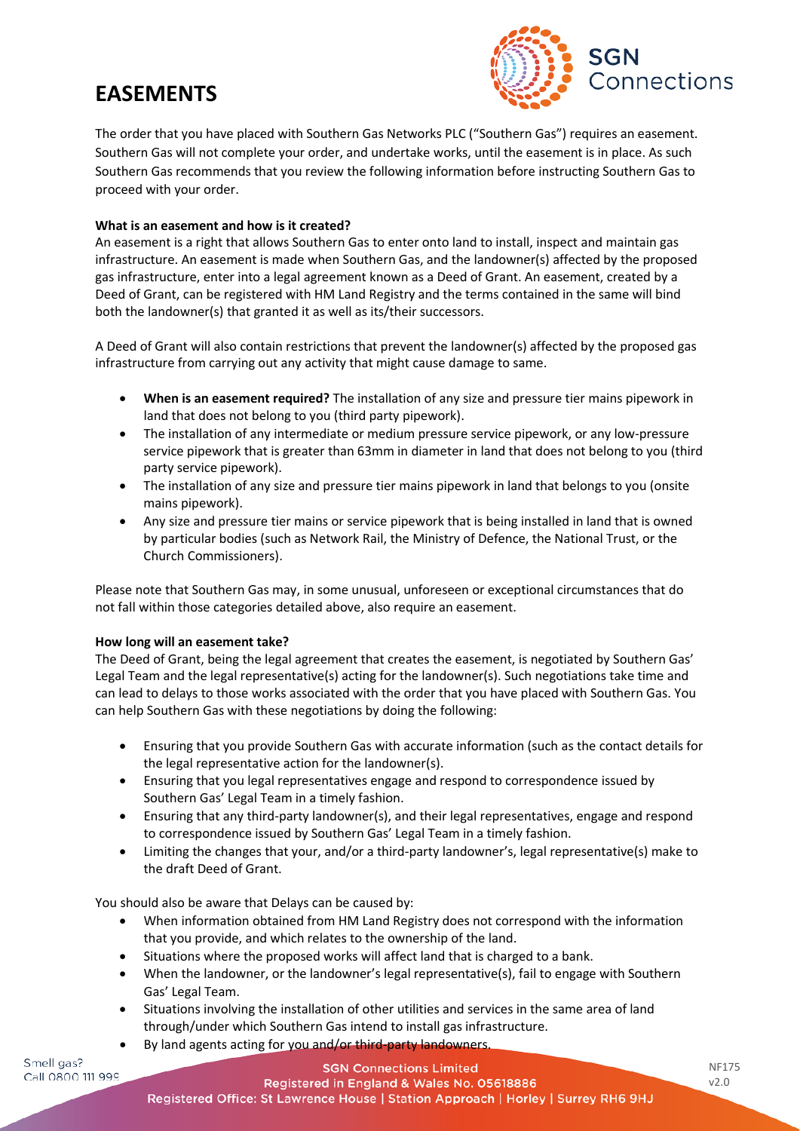# **EASEMENTS**



The order that you have placed with Southern Gas Networks PLC ("Southern Gas") requires an easement. Southern Gas will not complete your order, and undertake works, until the easement is in place. As such Southern Gas recommends that you review the following information before instructing Southern Gas to proceed with your order.

## **What is an easement and how is it created?**

An easement is a right that allows Southern Gas to enter onto land to install, inspect and maintain gas infrastructure. An easement is made when Southern Gas, and the landowner(s) affected by the proposed gas infrastructure, enter into a legal agreement known as a Deed of Grant. An easement, created by a Deed of Grant, can be registered with HM Land Registry and the terms contained in the same will bind both the landowner(s) that granted it as well as its/their successors.

A Deed of Grant will also contain restrictions that prevent the landowner(s) affected by the proposed gas infrastructure from carrying out any activity that might cause damage to same.

- **When is an easement required?** The installation of any size and pressure tier mains pipework in land that does not belong to you (third party pipework).
- The installation of any intermediate or medium pressure service pipework, or any low-pressure service pipework that is greater than 63mm in diameter in land that does not belong to you (third party service pipework).
- The installation of any size and pressure tier mains pipework in land that belongs to you (onsite mains pipework).
- Any size and pressure tier mains or service pipework that is being installed in land that is owned by particular bodies (such as Network Rail, the Ministry of Defence, the National Trust, or the Church Commissioners).

Please note that Southern Gas may, in some unusual, unforeseen or exceptional circumstances that do not fall within those categories detailed above, also require an easement.

## **How long will an easement take?**

The Deed of Grant, being the legal agreement that creates the easement, is negotiated by Southern Gas' Legal Team and the legal representative(s) acting for the landowner(s). Such negotiations take time and can lead to delays to those works associated with the order that you have placed with Southern Gas. You can help Southern Gas with these negotiations by doing the following:

- Ensuring that you provide Southern Gas with accurate information (such as the contact details for the legal representative action for the landowner(s).
- Ensuring that you legal representatives engage and respond to correspondence issued by Southern Gas' Legal Team in a timely fashion.
- Ensuring that any third-party landowner(s), and their legal representatives, engage and respond to correspondence issued by Southern Gas' Legal Team in a timely fashion.
- Limiting the changes that your, and/or a third-party landowner's, legal representative(s) make to the draft Deed of Grant.

You should also be aware that Delays can be caused by:

- When information obtained from HM Land Registry does not correspond with the information that you provide, and which relates to the ownership of the land.
- Situations where the proposed works will affect land that is charged to a bank.
- When the landowner, or the landowner's legal representative(s), fail to engage with Southern Gas' Legal Team.
- Situations involving the installation of other utilities and services in the same area of land through/under which Southern Gas intend to install gas infrastructure.
- By land agents acting for you and/or third-party landowners.

Smell gas? Call 0800 111 999

**SGN Connections Limited** Registered in England & Wales No. 05618886 Registered Office: St Lawrence House | Station Approach | Horley | Surrey RH6 9HJ NF175 v2.0